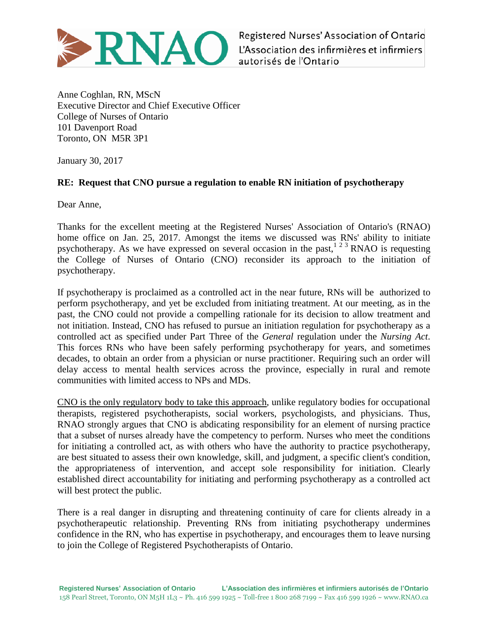

Registered Nurses' Association of Ontario L'Association des infirmières et infirmiers autorisés de l'Ontario

Anne Coghlan, RN, MScN Executive Director and Chief Executive Officer College of Nurses of Ontario 101 Davenport Road Toronto, ON M5R 3P1

January 30, 2017

## **RE: Request that CNO pursue a regulation to enable RN initiation of psychotherapy**

Dear Anne,

Thanks for the excellent meeting at the Registered Nurses' Association of Ontario's (RNAO) home office on Jan. 25, 2017. Amongst the items we discussed was RNs' ability to initiate psychotherapy. As we have expressed on several occasion in the past,<sup>123</sup> RNAO is requesting the College of Nurses of Ontario (CNO) reconsider its approach to the initiation of psychotherapy.

If psychotherapy is proclaimed as a controlled act in the near future, RNs will be authorized to perform psychotherapy, and yet be excluded from initiating treatment. At our meeting, as in the past, the CNO could not provide a compelling rationale for its decision to allow treatment and not initiation. Instead, CNO has refused to pursue an initiation regulation for psychotherapy as a controlled act as specified under Part Three of the *General* regulation under the *Nursing Act*. This forces RNs who have been safely performing psychotherapy for years, and sometimes decades, to obtain an order from a physician or nurse practitioner. Requiring such an order will delay access to mental health services across the province, especially in rural and remote communities with limited access to NPs and MDs.

CNO is the only regulatory body to take this approach, unlike regulatory bodies for occupational therapists, registered psychotherapists, social workers, psychologists, and physicians. Thus, RNAO strongly argues that CNO is abdicating responsibility for an element of nursing practice that a subset of nurses already have the competency to perform. Nurses who meet the conditions for initiating a controlled act, as with others who have the authority to practice psychotherapy, are best situated to assess their own knowledge, skill, and judgment, a specific client's condition, the appropriateness of intervention, and accept sole responsibility for initiation. Clearly established direct accountability for initiating and performing psychotherapy as a controlled act will best protect the public.

There is a real danger in disrupting and threatening continuity of care for clients already in a psychotherapeutic relationship. Preventing RNs from initiating psychotherapy undermines confidence in the RN, who has expertise in psychotherapy, and encourages them to leave nursing to join the College of Registered Psychotherapists of Ontario.